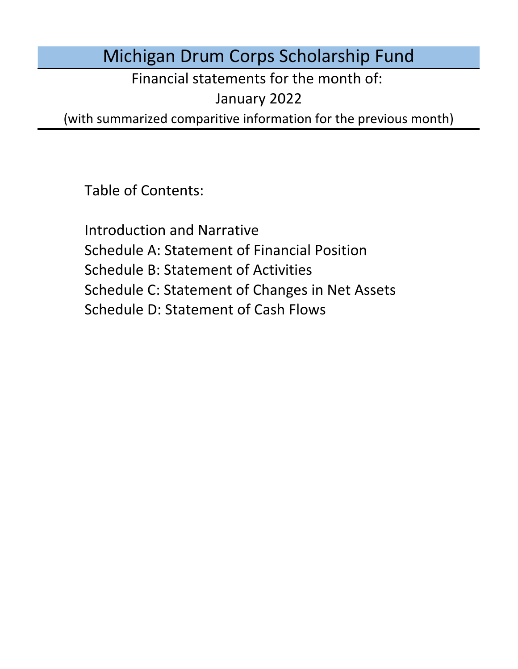# Michigan Drum Corps Scholarship Fund

Financial statements for the month of:

January 2022

(with summarized comparitive information for the previous month)

Table of Contents:

Schedule D: Statement of Cash Flows Introduction and Narrative Schedule A: Statement of Financial Position Schedule B: Statement of Activities Schedule C: Statement of Changes in Net Assets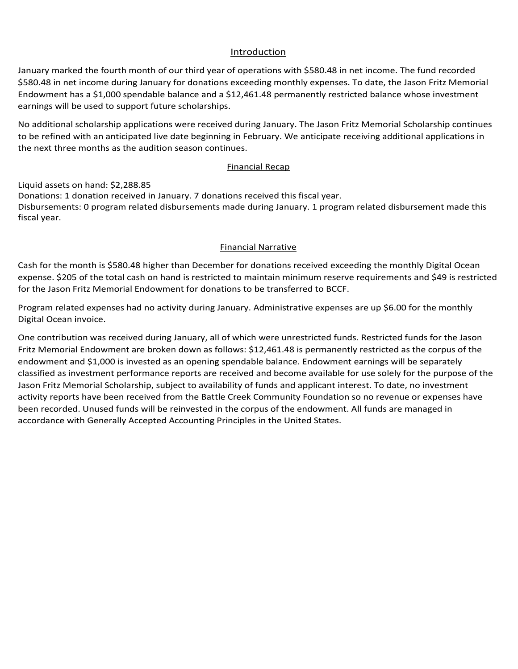### Introduction Introduction Introduction Introduction

<u>Introduction</u><br>January marked the fourth month of our third year of operations with \$580.48 in net income. The fund recorded Introduction<br>January marked the fourth month of our third year of operations with \$580.48 in net income. The fund recorded<br>\$580.48 in net income during January for donations exceeding monthly expenses. To date, the Jason F Endowment has a \$1,000 spendable balance and a \$12,461.48 permanently restricted balance whose investment<br>earnings will be used to support future scholarships. earnings will be used to support future scholarships. January marked the fourth month of our third year of operations with \$580.48 in net income. The fund recorded<br>\$580.48 in net income during January for donations exceeding monthly expenses. To date, the Jason Fritz Memorial

No additional scholarship applications were received during January. The Jason Fritz Memorial Scholarship continue<br>La hangfinal with an anticipated live data hasiming in Eshmany M4 anticipate massiving additional emplicati Liquid assets on hand: \$1776.62 all organizations. The Madison Scouts have developed a virtual summer education program with video (MCBA) has cancelled all events this year, and audition camps will likely be held online. No additional scholarship applications were received during January. The Jason Fritz Memorial Scholarship continues<br>to be refined with an anticipated live date beginning in February. We anticipate receiving additional appl  $M_{\rm F}$   $\sim$   $M_{\rm F}$ Phone and Buggest Regiment Drum and Buggest Corps, and has previously served as chief medical state  $\frac{1}{2}$ Legends has extended the deadline for rolling 2020 contracts into next season from September to next season from September to the September of the September of the September of the September of the September of the Septemb the doctrination section contracts.<br>
<u>Financial Recap</u> disbursed no funds for students during October. The board chair has been in contact with all sponsored students from the additional scholarship applications were received during familiary. The fason ring formular scholarship for the next three months as the audition season continues.<br>
Financial Passes November. The board chair has been in contact with all sponsored students from the 2020 season and the scholarship No additional scholarship applications were received during January. The Jason Fritz Memorial Scholarship continues full additional scholarship applications were received during sandary. The sason rinclude including scholarship continu<br>Conduct and the ability to gather for conduct for the mask except for the mask except for the mask ex capacity limits outdoors, indoor restrictions will be raised to 50% capacity, and social gatherings will be regulated by venue. On July 1st all statewide COVID restrictions will be lifted. Assuming corps follow the protective measures the addition at extending the Seastle season opener from previous they were previous years the Seastle season o<br>Noted that they will be also they will be a compared finally finally finally finally finally finally finally f No additional scholarship applications were received during January. The Jason Fritz Memorial Scholarship continues<br>And a straight with the straight of the straight of the straight with the straight with the straight with  $\overline{a}$  about the  $\overline{a}$  serioral site restricted and only investment earnings on that balance can be used for future scholarships. Note that we received No additional scholarship applications were received during January. The Jason Fritz Memorial Scholarship continues<br>to be refined with an anticipated live date beginning in February. We anticipate receiving additional appl  $\frac{1}{2}$  $rac{1}{2}$ 

### Donations: 1 donation received during January through Paypal. <u>Disbursements: 0 program relative</u> <u>Thuncial Recap</u>  $$  $D$  and  $B$ ugle  $C$  and  $D$  second wave of  $C$  and  $D$  across the United States, the United States, the United States, the United States, the United States, the United States, the United States, the United States, the Unit December. As a result,  $\overline{\text{Financial Recap}}$ 2021 season. Virtual events with judge feedback will be held through the winter and ensembles with traditionally limited operation may actually receive more feedback from a wider variety more feedback from a wider variety of instructors. The contract of instructors of instructors. The contract of instructors of instructors. The contr DCI's January meeting, the board opened scholarship applications for the 2021 season to support Michigan students. <u>Financial Recap</u> program, or will participate solely in local or regional events.  $\frac{\text{m} \cdot \text{m}}{\text{m}}$  and volunteers, the shift of housing from high school gymnastic of housing from high school gymnastic of housing from high school gymnastic from high school gymnastic of housing from high school gymn 2021 season than expected only a few months ago. <u>Financial Schop</u>  $t_{\rm max}$  Community Foundation and  $\Gamma$  $\frac{1}{2}$ mancial  $\text{Recap}}$  $\mathbf{F}_{\text{in}}$  available fundration efforts. As we have considered the  $\mathbf{F}_{\text{in}}$  for the  $\mathbf{F}_{\text{out}}$  $B_{\text{m}}$  Creek Community Foundation is organization fund program. The fundamental program of  $\alpha$  $T_{\rm{inert}}$  since and heartfelt thanks to all of our supporters who heartfelt thanks to all of our sponsored our sponsored our sponsored our sponsored our sponsored our sponsored our sponsored our sponsored our sponsored o  $\frac{1}{2}$  in the drum corps activity last  $\frac{1}{2}$  investigate in the Jason Fritz Memorial Endowment Memorial Endowment Memorial Endowment Memorial Endowment Memorial Endowment Memorial Endowment Memorial Endowment Memor Financial Recap

program the board believes this fulfills our stated mission for funds disputed mission for funds disputed this The 2020 season cancellation's financial impacts are also reaching some of Drum Corps International's financial<br>The 2020 season cancellation in the 2020 season cancellation in the 2020 season cancellation in the 2020 seaso Of our 2020 sponsored programs with prepaid scholarships rolled into 2021, three ensembles have developed Einancial Recap<br>Liquid assets on hand: \$2,288.85

Donations: I donation received in January. 7 donations received this fiscal year.<br>Disbursements: 0 program related disbursements made during January. 1 program related disbursement made this<br>fiscal year.  $\alpha$  January marked the fifth monotons for the fund under its declared fiscal year.  $\alpha$ Liquid assets on hand:  $\frac{22,288.85}{2}$ Entertainment Preugh<br>Donations: 1 donation received in January. 7 donations received this fiscal year.<br>Dishuresments: 0 pregram related dishuresments made during January. 1 pregram related dishuresment made this orsoarsements. O program related alsoarsements made daring sandary. I program related disodrsement made this i<br>ficcal vear ring January for donations exceeding monthly expenses. To date, the Jason Fritz Memorial<br>spendable balance and a \$12,461.48 permanently restricted balance whose investment<br>upport future scholarships.<br>applications were rece and outreach efforts, and online fundraisers. Drum Corona International, a simulated competition between Donations: I donation received in January. 7 donations received this fiscal year.<br>Disbureaments: 0 pregram related disbureaments made during lanuary. 1 pregram related disbureament made this on the 2021 season. United all and references all audition and reduced to be lighted related and references mad<br>tional vear conducted virtually, housing sites will be more difficult to find, and an increased emphasis on hygiene and Donations: I donation received in January. 7 donations received this fiscal year.<br>Dishurcoments: 0 nrogram related dishurcoments mode during lanuary. 1 nrogram related dishurcoment mode t Disbursements: 0 program related disbursements made during January. 1 program related disbursement made this<br>fiscal year. On November 9th, Pfizer and Biontech announced a vaccine candidate to prevent COVID-19 that was found to be Financial Recap<br>Ind assets on hand: \$2,288.85<br>Inations: 1 donation received in January. 7 donations received this fiscal year.<br>Joursements: 0 program related disbursements made during January. 1 program related disbursemen voirations. I donation received in sandary. 7 donations received this nsear year.<br>Dishursoments: 0 program related dishursoments made during January. 1 program related dishursoment made this . The Crossmenten of program related Checollective and the Colling candal program related Checollective model th<br>fiscal vear instruction sessions. River City Rhythm continues to host their RCR Winter Experience and Distant Harmonies to ponations. I admition received in sandary. Plaandions received this nsear year.<br>Dishursoments: A program related dishursoments made during January. 1 program related dishursoment made this virtual drum major and leadership clinical drum major as a new Experiment Lesson Series designed for beginner band students.<br>Fiscal vear The Crossmen announced The Collective as their digital platform for video auditions, monthly classes, and private ations received this fis<br>s made during January<br>. Disbursements: 0 program related disbursements made during January. 1 program related disbursement made this<br>fiscal vear month. The board chair has been in contact with all sponsored students from the 2020 season as we prepare for the  $\epsilon$  discal year. And investment management management of an endowment for  $\epsilon$ fiscal year. 2020 and this year's sponsored students, we have a total of four students marching with three corps this summer: Donations. I donation received in sundary. A donations received this nsearyear.<br>Dishursements: A program related dishursements made during January. 1 program related dishursement made this Disbursements: 0 program related disbursements made during January. 1 program related disbursement made th<br>fiscal vear Jaden McCallum and Echo Bennett with Phantom Regiment, Abbey Trach with River City Rhythm, and Kaitlyn Colyer  $\mathbb{R}^2$  sponsorships carried for ward and new sponsorships made during 2021, the fund supported for  $\mathbb{R}^2$ Disbursements: 0 program related disbursements made during January. 1 program related disbursement made this

### **Example 2018 Example 2018 Example 2019 Example 2019 CONSERVANT** 35 of DCI's Division 1 / World Class corps, officially kicked off on June 30th with show selections based on fan member health will require substantial process improvements for each ensemble. Potential tour changes mand include the housing exclusively in home college dormitories, a regional touring model, and is one college do regional to the second model of the second model of the second model, and is one college do not to the secon substantial process improvements for each ensemble. Potential tour changes mand include the housing exclusively in homogeneous in homogeneous college documents of the second model, and is on college download to the second model of the second model, and is on the second model, and is on the second program and no ensembles have an in-person and no ensembles to date. The board continues to monitor the state  $\mathbf{F}$ Disbursements: 0 program related disbursements during October. 0 program related disbursements made this fiscal  $N = 1$  marked the second month of operations for the month in our third fiscal year. Cash for the month is cash for the month in our third fiscal year. Cash for the month is cash for the month in our the month is cash for Canadian for the month is 118.04 higher than November for donations received exceeding the December audition fees the December and December audition fees the December audition fees the December audition fees the December a

Cash for the month is \$580.48 higher than December for donations received exceeding the monthly Digital Ocean<br>expense. \$205 of the total cash on hand is restricted to maintain minimum reserve requirements and \$49 is restri expense. \$205 of the total cash on hand is restricted to maintain minimum reserve requirements and \$49 is restricted expense. \$205 of the total cash on hand is restricted to maintain minimum reserve requirements and \$49 is restricted<br>for the Jason Fritz Memorial Endowment for donations to be transferred to BCCF.<br> parties as more information becomes available. receiving a 400.000 refunds for Echo Bennett's unused scholarship payment but Crossmen has not consider the co<br>Crossmen has not considered scholarship payment but Crossmen has not considered the consideration of the const

Program related expenses had no activity during January. Administrative expenses are up \$6.00 for the monthly<br>Digital Osean invoise Notation are currently restricted by outside donors. All restrictions made by the Board are included under under United Funds in accordance with General Interiors in the United States. The United States in the United States n ogram romten enperiode had no den ny aaring santany. Mammistran o enperiode are ap personer the month, y<br>Digital Ocean invoice.  $M_{\rm{d}}$  marked the ninth month of operations for the fund under its declared fiscal year. Cash for the month of month  $\alpha$ Disbursements: 0 program related disbursements during July. Financial Recap Digital Ocean invoice.<br>One contribution was resolved during January, all of which were unrestricted funds. Bestricted funds for the Jason  $\alpha$  disputes  $\alpha$  program related disputes  $\alpha$  program related disputes have been made this have been made this have been made this have been made this have been made the set of  $\alpha$  $\mathcal{L}$  assets on  $\mathcal{L}$  assets on  $\mathcal{L}$ lower than September due to the endowment transfer. \$205 of the total cash on hand is restricted to maintain transfer. \$205 of the total cash on hand is restricted to maintain the total cash on hand is restricted to mainta

One contribution was received during January, all of which were unrestricted funds. Restricted funds for the Jason Fritz Memorial Endowment are broken down as follows: \$12,461.48 is permanently restricted as the corpus of the Program related expenses had no activity during January. Administrative expenses are up \$6.00 for the monthly<br>Digital Ocean invoice.<br>One contribution was received during January, all of which were unrestricted funds. Restr choowment and 91,000 is invested as an opening spendable balance. Endowment carrings will be separately<br>classified as investment performance reports are received and become available for use solely for the purpose of the classified as investment performance reports are received and become available for use solety for the purpose or the<br>Jason Fritz Memorial Scholarship, subject to availability of funds and applicant interest. To date, no in activity reports have been received from the Battle Creek Community Foundation so no revenue or expenses have been recorded. Unused funds will be reinvested in the corpus of the endowment. All funds are managed in accordance with Generally Accepted Accounting Principles in the United States. our third year of operations with \$580.48 in net incrome. The fund recorded<br>for y for donations exceeding monthly exences. To date, the Jason Fritz Memorial<br>balance and a \$12,461.48 permanently restricted balance whose inv **E** Creek Community<br>College A Disbursements: 0 program related disbursements during November. 0 program related disbursements made this fiscal year. \$1,590 in prepared turning formula by an orientation were unrestricted funds. Restricted funds for th<br>The 2020 season due to the 2020 season due to the 2020 season due to the 2020 season due to the 2020 season activity reports have been received from the Battle Creek Community Foundation so no revenue or expenses have<br>It are no couled Haused fundamill be primarized in the commo of the endowment. All fundaments and processed in been recorded. Onused funds will be relifvested in the corpus of the endowment. All funds are managed in minimum reserves in the total cash of the total cash of the total cash of the total cash of the total cash of the tot ne contribution was received during January, all of which were unrestricted funds. Restricted funds for the Jason C Jason Fritz Memorial Scholarship, subject to availability of funds and applicant interest. To date, no investment activity report<br>. One communion was received during sandary, an Or which were dimestricted rands. Nestheted rands for<br>Eritz Momorial Endowment are broken down as follows: \$12,461,49 is normanently restricted as the corr endowment and \$1,000 is invested as an opening spendable balance. Endowment earnings will be separately<br>March 2021 season can cancellate this fiscal material in April. This fiscal material is finally and the Content been recorded. Unused funds will be reinvested in the corpus of the endowment. All funds are managed in<br>conceleres with Generally Assembel Assembly Directeles in the United States One contribution was received during January, all of which were unrestricted funds. Restricted funds for the Jason<br>Filte Marcarial Federum ant are hualian darum as fallows: 612,461,49 is narrowearthy restricted as the samu year. Between rolled for an analog season, and the 2011 season season due to the 2021 season.<br>This Memorial Endowment are broken down as follows: \$12,461.48 is permanently restricted as the corpus of the activity reports have been received from the Battle Creek Community Foundation so no revenue or expenses hav classified as investment performance reports are received and become available for use solely for the purpose of the  $\frac{1}{4}$  $\frac{1}{2}$  decreed during sandary, and revincing were dimestricted rands. Restricted rands for the sason  $\frac{1}{2}$ Fritz Memorial Endowment are broken down as follows: \$12,461.48 is permanently restricted as the corpus of the<br> Fritz Memorial Endowment are broken down as follows: \$12,461.48 is permanently restricted rands for the sason<br>endowment and \$1,000 is invested as an opening spendable balance. Endowment earnings will be separately accordance with Generally Accepted Accounting Principles in the United States. Universed the fourth month of our third year of operations with SSBO.AB in one income. The functioned contents that a s \$1.000 spends by bareable balance whose investment and season of the shows multiple particular content by the corps in June. Echo's \$400.00 disbursement was approved and paid but has yet to be deposited by the corps. r<br>A Creek Community sponsorships for the 2021 season. Jason Fritz Memorial Scholarship, subject to availability of funds and applicant interest. To date, no investment<br>activity reports have been received from the Battle Creek Community Foundation so no revenue or expenses hav One contribution was received during January, all of which were unrestricted funds. Restricted funds for the Jason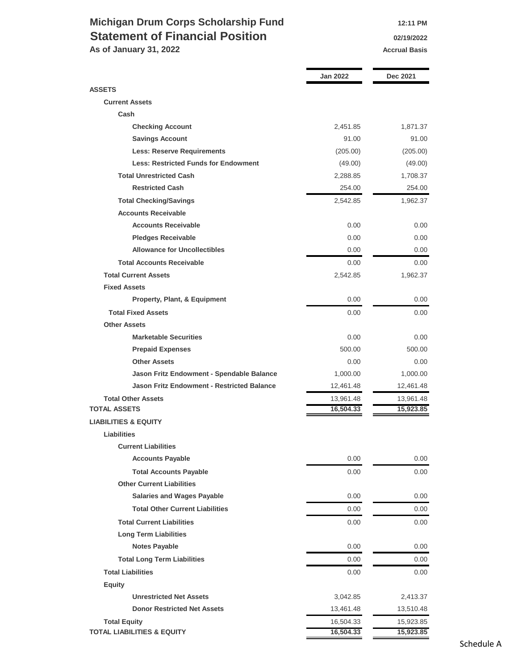## **Michigan Drum Corps Scholarship Fund 12:11 PM Statement of Financial Position 1976** 02/19/2022

**As of January 31, 2022 Accrual Basis Accrual Basis** 

|                                                   | <b>Jan 2022</b> | Dec 2021  |
|---------------------------------------------------|-----------------|-----------|
| <b>ASSETS</b>                                     |                 |           |
| <b>Current Assets</b>                             |                 |           |
| Cash                                              |                 |           |
| <b>Checking Account</b>                           | 2,451.85        | 1,871.37  |
| <b>Savings Account</b>                            | 91.00           | 91.00     |
| <b>Less: Reserve Requirements</b>                 | (205.00)        | (205.00)  |
| <b>Less: Restricted Funds for Endowment</b>       | (49.00)         | (49.00)   |
| <b>Total Unrestricted Cash</b>                    | 2,288.85        | 1,708.37  |
| <b>Restricted Cash</b>                            | 254.00          | 254.00    |
| <b>Total Checking/Savings</b>                     | 2,542.85        | 1,962.37  |
| <b>Accounts Receivable</b>                        |                 |           |
| <b>Accounts Receivable</b>                        | 0.00            | 0.00      |
| <b>Pledges Receivable</b>                         | 0.00            | 0.00      |
| <b>Allowance for Uncollectibles</b>               | 0.00            | 0.00      |
| <b>Total Accounts Receivable</b>                  | 0.00            | 0.00      |
| <b>Total Current Assets</b>                       | 2,542.85        | 1,962.37  |
| <b>Fixed Assets</b>                               |                 |           |
| Property, Plant, & Equipment                      | 0.00            | 0.00      |
| <b>Total Fixed Assets</b>                         | 0.00            | 0.00      |
| <b>Other Assets</b>                               |                 |           |
| <b>Marketable Securities</b>                      | 0.00            | 0.00      |
| <b>Prepaid Expenses</b>                           | 500.00          | 500.00    |
| <b>Other Assets</b>                               | 0.00            | 0.00      |
| Jason Fritz Endowment - Spendable Balance         | 1,000.00        | 1,000.00  |
| <b>Jason Fritz Endowment - Restricted Balance</b> | 12,461.48       | 12,461.48 |
| <b>Total Other Assets</b>                         | 13,961.48       | 13,961.48 |
| <b>TOTAL ASSETS</b>                               | 16,504.33       | 15,923.85 |
| <b>LIABILITIES &amp; EQUITY</b>                   |                 |           |
| <b>Liabilities</b>                                |                 |           |
| <b>Current Liabilities</b>                        |                 |           |
| <b>Accounts Payable</b>                           | 0.00            | 0.00      |
| <b>Total Accounts Payable</b>                     | 0.00            | 0.00      |
| <b>Other Current Liabilities</b>                  |                 |           |
| <b>Salaries and Wages Payable</b>                 | 0.00            | 0.00      |
| <b>Total Other Current Liabilities</b>            | 0.00            | 0.00      |
| <b>Total Current Liabilities</b>                  | 0.00            | 0.00      |
| <b>Long Term Liabilities</b>                      |                 |           |
| <b>Notes Payable</b>                              | 0.00            | 0.00      |
| <b>Total Long Term Liabilities</b>                | $0.00\,$        | 0.00      |
| <b>Total Liabilities</b>                          | 0.00            | 0.00      |
| <b>Equity</b>                                     |                 |           |
| <b>Unrestricted Net Assets</b>                    | 3,042.85        | 2,413.37  |
| <b>Donor Restricted Net Assets</b>                | 13,461.48       | 13,510.48 |
| <b>Total Equity</b>                               | 16,504.33       | 15,923.85 |
| <b>TOTAL LIABILITIES &amp; EQUITY</b>             | 16,504.33       | 15,923.85 |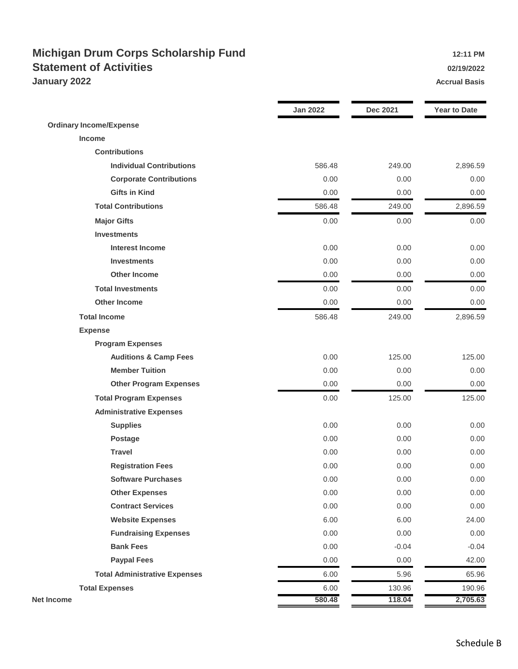### **Michigan Drum Corps Scholarship Fund 12:11 PM Statement of Activities 12/19/2022 January 2022 Accrual Basis Accrual Basis Accrual Basis**

|                                      | <b>Jan 2022</b> | <b>Dec 2021</b> | <b>Year to Date</b> |
|--------------------------------------|-----------------|-----------------|---------------------|
| <b>Ordinary Income/Expense</b>       |                 |                 |                     |
| <b>Income</b>                        |                 |                 |                     |
| <b>Contributions</b>                 |                 |                 |                     |
| <b>Individual Contributions</b>      | 586.48          | 249.00          | 2,896.59            |
| <b>Corporate Contributions</b>       | 0.00            | 0.00            | 0.00                |
| <b>Gifts in Kind</b>                 | 0.00            | 0.00            | 0.00                |
| <b>Total Contributions</b>           | 586.48          | 249.00          | 2,896.59            |
| <b>Major Gifts</b>                   | 0.00            | 0.00            | 0.00                |
| <b>Investments</b>                   |                 |                 |                     |
| <b>Interest Income</b>               | 0.00            | 0.00            | 0.00                |
| <b>Investments</b>                   | 0.00            | 0.00            | 0.00                |
| <b>Other Income</b>                  | 0.00            | 0.00            | 0.00                |
| <b>Total Investments</b>             | 0.00            | 0.00            | 0.00                |
| <b>Other Income</b>                  | 0.00            | 0.00            | 0.00                |
| <b>Total Income</b>                  | 586.48          | 249.00          | 2,896.59            |
| <b>Expense</b>                       |                 |                 |                     |
| <b>Program Expenses</b>              |                 |                 |                     |
| <b>Auditions &amp; Camp Fees</b>     | 0.00            | 125.00          | 125.00              |
| <b>Member Tuition</b>                | 0.00            | 0.00            | 0.00                |
| <b>Other Program Expenses</b>        | 0.00            | 0.00            | 0.00                |
| <b>Total Program Expenses</b>        | 0.00            | 125.00          | 125.00              |
| <b>Administrative Expenses</b>       |                 |                 |                     |
| <b>Supplies</b>                      | 0.00            | 0.00            | 0.00                |
| <b>Postage</b>                       | 0.00            | 0.00            | 0.00                |
| <b>Travel</b>                        | 0.00            | 0.00            | 0.00                |
| <b>Registration Fees</b>             | 0.00            | 0.00            | 0.00                |
| <b>Software Purchases</b>            | 0.00            | 0.00            | 0.00                |
| <b>Other Expenses</b>                | 0.00            | 0.00            | 0.00                |
| <b>Contract Services</b>             | 0.00            | 0.00            | 0.00                |
| <b>Website Expenses</b>              | 6.00            | 6.00            | 24.00               |
| <b>Fundraising Expenses</b>          | 0.00            | 0.00            | 0.00                |
| <b>Bank Fees</b>                     | 0.00            | $-0.04$         | $-0.04$             |
| <b>Paypal Fees</b>                   | 0.00            | 0.00            | 42.00               |
| <b>Total Administrative Expenses</b> | 6.00            | 5.96            | 65.96               |
| <b>Total Expenses</b>                | 6.00            | 130.96          | 190.96              |
| Net Income                           | 580.48          | 118.04          | 2,705.63            |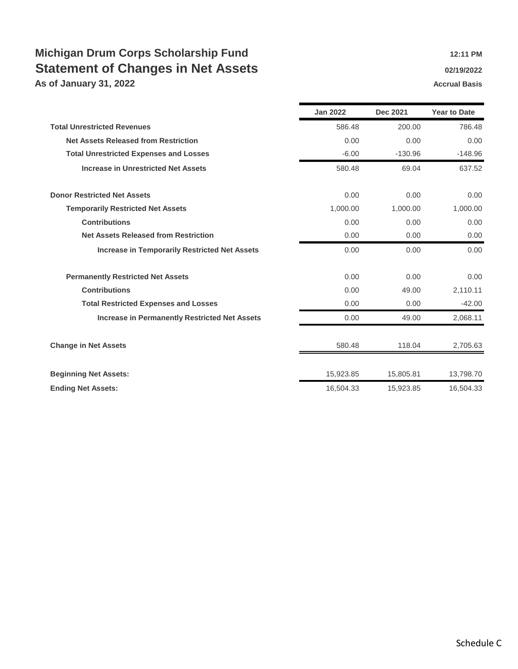# **Michigan Drum Corps Scholarship Fund 12:11 PM** 12:11 PM **Statement of Changes in Net Assets 1992022 <b>19/2022 19/2022**

**As of January 31, 2022 Accrual Basis Accrual Basis Accrual Basis** 

|                                                      | <b>Jan 2022</b> | Dec 2021  | <b>Year to Date</b> |
|------------------------------------------------------|-----------------|-----------|---------------------|
| <b>Total Unrestricted Revenues</b>                   | 586.48          | 200.00    | 786.48              |
| <b>Net Assets Released from Restriction</b>          | 0.00            | 0.00      | 0.00                |
| <b>Total Unrestricted Expenses and Losses</b>        | $-6.00$         | $-130.96$ | $-148.96$           |
| <b>Increase in Unrestricted Net Assets</b>           | 580.48          | 69.04     | 637.52              |
| <b>Donor Restricted Net Assets</b>                   | 0.00            | 0.00      | 0.00                |
| <b>Temporarily Restricted Net Assets</b>             | 1,000.00        | 1,000.00  | 1,000.00            |
| <b>Contributions</b>                                 | 0.00            | 0.00      | 0.00                |
| <b>Net Assets Released from Restriction</b>          | 0.00            | 0.00      | 0.00                |
| <b>Increase in Temporarily Restricted Net Assets</b> | 0.00            | 0.00      | 0.00                |
| <b>Permanently Restricted Net Assets</b>             | 0.00            | 0.00      | 0.00                |
| <b>Contributions</b>                                 | 0.00            | 49.00     | 2,110.11            |
| <b>Total Restricted Expenses and Losses</b>          | 0.00            | 0.00      | $-42.00$            |
| <b>Increase in Permanently Restricted Net Assets</b> | 0.00            | 49.00     | 2,068.11            |
| <b>Change in Net Assets</b>                          | 580.48          | 118.04    | 2,705.63            |
| <b>Beginning Net Assets:</b>                         | 15,923.85       | 15,805.81 | 13,798.70           |
| <b>Ending Net Assets:</b>                            | 16,504.33       | 15,923.85 | 16,504.33           |